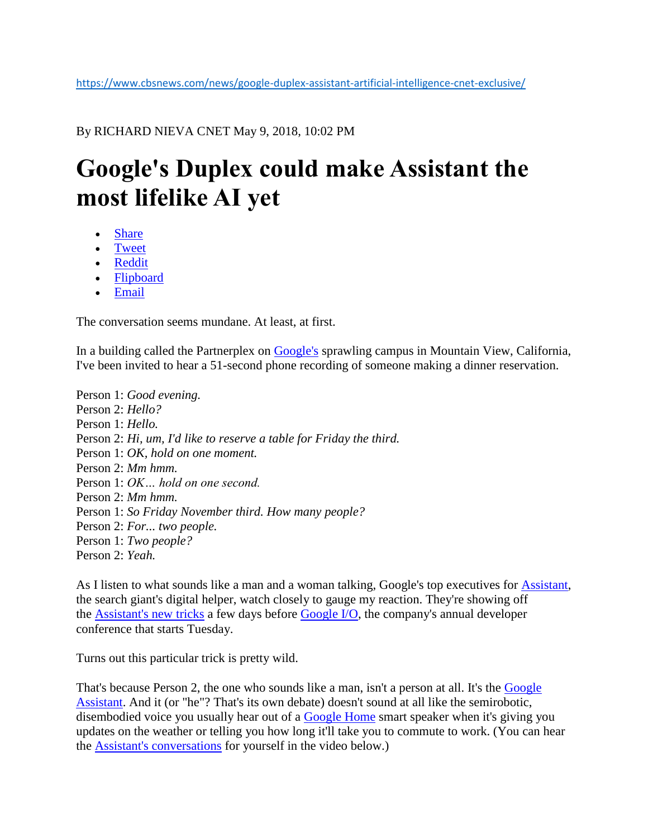By RICHARD NIEVA CNET May 9, 2018, 10:02 PM

## **Google's Duplex could make Assistant the most lifelike AI yet**

- Share
- [Tweet](https://www.cbsnews.com/news/google-duplex-assistant-artificial-intelligence-cnet-exclusive/)
- Reddit
- Flipboard
- Email

The conversation seems mundane. At least, at first.

In a building called the Partnerplex on [Google's](https://www.cnet.com/google/) sprawling campus in Mountain View, California, I've been invited to hear a 51-second phone recording of someone making a dinner reservation.

Person 1: *Good evening.* Person 2: *Hello?* Person 1: *Hello.* Person 2: *Hi, um, I'd like to reserve a table for Friday the third.* Person 1: *OK, hold on one moment.* Person 2: *Mm hmm.* Person 1: *OK… hold on one second.* Person 2: *Mm hmm.* Person 1: *So Friday November third. How many people?* Person 2: *For... two people.* Person 1: *Two people?* Person 2: *Yeah.*

As I listen to what sounds like a man and a woman talking, Google's top executives for [Assistant,](https://www.cnet.com/news/what-is-the-google-assistant/) the search giant's digital helper, watch closely to gauge my reaction. They're showing off the [Assistant's new tricks](https://www.cnet.com/news/google-assistant-gets-native-controls-for-ovens-coffee-makers-and-more/) a few days before [Google I/O,](https://www.cnet.com/google-io/) the company's annual developer conference that starts Tuesday.

Turns out this particular trick is pretty wild.

That's because Person 2, the one who sounds like a man, isn't a person at all. It's the [Google](https://www.cnet.com/news/googles-pretty-please-feature-wants-to-help-you-enforce-manners/)  [Assistant.](https://www.cnet.com/news/googles-pretty-please-feature-wants-to-help-you-enforce-manners/) And it (or "he"? That's its own debate) doesn't sound at all like the semirobotic, disembodied voice you usually hear out of a [Google Home](https://www.cnet.com/products/google-home/review/%20target=) smart speaker when it's giving you updates on the weather or telling you how long it'll take you to commute to work. (You can hear the [Assistant's conversations](https://www.cnet.com/news/google-assistant-gets-six-new-voices-including-john-legend/) for yourself in the video below.)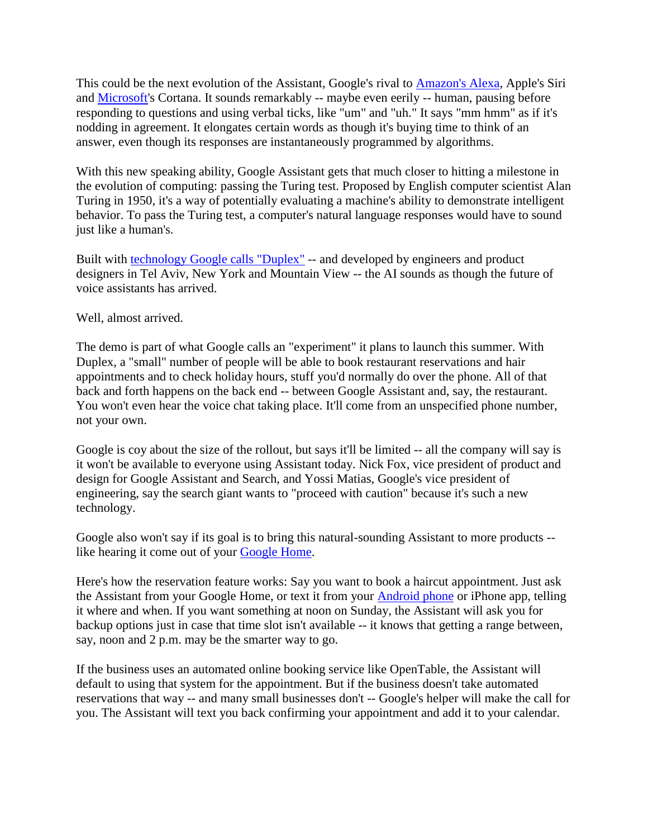This could be the next evolution of the Assistant, Google's rival to [Amazon's Alexa,](https://www.cnet.com/news/amazon-echo-alexa-devices-everything-you-need-to-know/) Apple's Siri and [Microsoft's](https://www.cnet.com/tags/microsoft/) Cortana. It sounds remarkably -- maybe even eerily -- human, pausing before responding to questions and using verbal ticks, like "um" and "uh." It says "mm hmm" as if it's nodding in agreement. It elongates certain words as though it's buying time to think of an answer, even though its responses are instantaneously programmed by algorithms.

With this new speaking ability, Google Assistant gets that much closer to hitting a milestone in the evolution of computing: passing the Turing test. Proposed by English computer scientist Alan Turing in 1950, it's a way of potentially evaluating a machine's ability to demonstrate intelligent behavior. To pass the Turing test, a computer's natural language responses would have to sound just like a human's.

Built with [technology Google calls "Duplex"](https://ai.googleblog.com/2018/05/duplex-ai-system-for-natural-conversation.html) -- and developed by engineers and product designers in Tel Aviv, New York and Mountain View -- the AI sounds as though the future of voice assistants has arrived.

Well, almost arrived.

The demo is part of what Google calls an "experiment" it plans to launch this summer. With Duplex, a "small" number of people will be able to book restaurant reservations and hair appointments and to check holiday hours, stuff you'd normally do over the phone. All of that back and forth happens on the back end -- between Google Assistant and, say, the restaurant. You won't even hear the voice chat taking place. It'll come from an unspecified phone number, not your own.

Google is coy about the size of the rollout, but says it'll be limited -- all the company will say is it won't be available to everyone using Assistant today. Nick Fox, vice president of product and design for Google Assistant and Search, and Yossi Matias, Google's vice president of engineering, say the search giant wants to "proceed with caution" because it's such a new technology.

Google also won't say if its goal is to bring this natural-sounding Assistant to more products - like hearing it come out of your [Google Home.](https://www.cnet.com/news/google-home-continued-conversation-setting-keeps-the-mic-hot/)

Here's how the reservation feature works: Say you want to book a haircut appointment. Just ask the Assistant from your Google Home, or text it from your [Android phone](https://www.cnet.com/products/android-p/preview/) or iPhone app, telling it where and when. If you want something at noon on Sunday, the Assistant will ask you for backup options just in case that time slot isn't available -- it knows that getting a range between, say, noon and 2 p.m. may be the smarter way to go.

If the business uses an automated online booking service like OpenTable, the Assistant will default to using that system for the appointment. But if the business doesn't take automated reservations that way -- and many small businesses don't -- Google's helper will make the call for you. The Assistant will text you back confirming your appointment and add it to your calendar.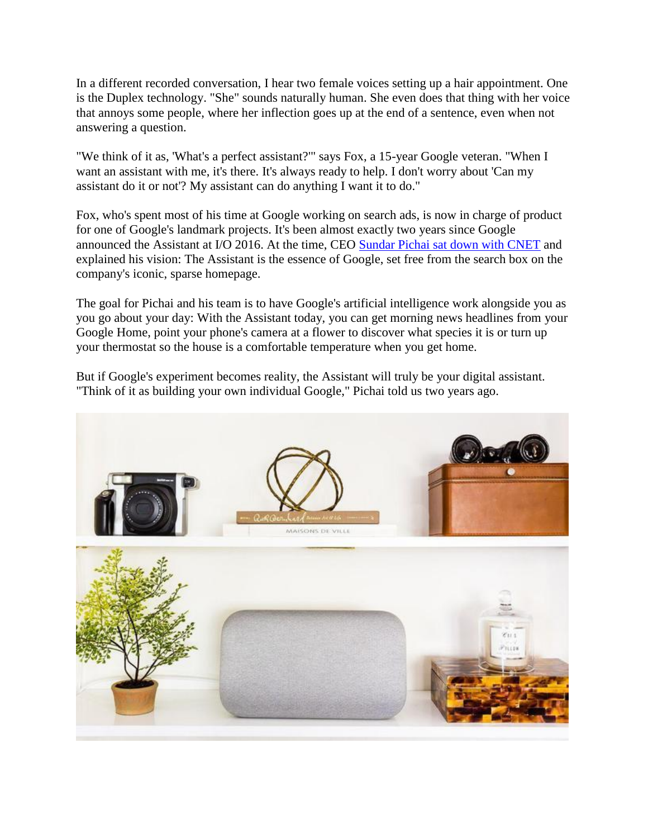In a different recorded conversation, I hear two female voices setting up a hair appointment. One is the Duplex technology. "She" sounds naturally human. She even does that thing with her voice that annoys some people, where her inflection goes up at the end of a sentence, even when not answering a question.

"We think of it as, 'What's a perfect assistant?'" says Fox, a 15-year Google veteran. "When I want an assistant with me, it's there. It's always ready to help. I don't worry about 'Can my assistant do it or not'? My assistant can do anything I want it to do."

Fox, who's spent most of his time at Google working on search ads, is now in charge of product for one of Google's landmark projects. It's been almost exactly two years since Google announced the Assistant at I/O 2016. At the time, CEO [Sundar Pichai sat down with CNET](https://www.cnet.com/special-reports/googles-ceo-sums-up-his-ai-vision/) and explained his vision: The Assistant is the essence of Google, set free from the search box on the company's iconic, sparse homepage.

The goal for Pichai and his team is to have Google's artificial intelligence work alongside you as you go about your day: With the Assistant today, you can get morning news headlines from your Google Home, point your phone's camera at a flower to discover what species it is or turn up your thermostat so the house is a comfortable temperature when you get home.

But if Google's experiment becomes reality, the Assistant will truly be your digital assistant. "Think of it as building your own individual Google," Pichai told us two years ago.

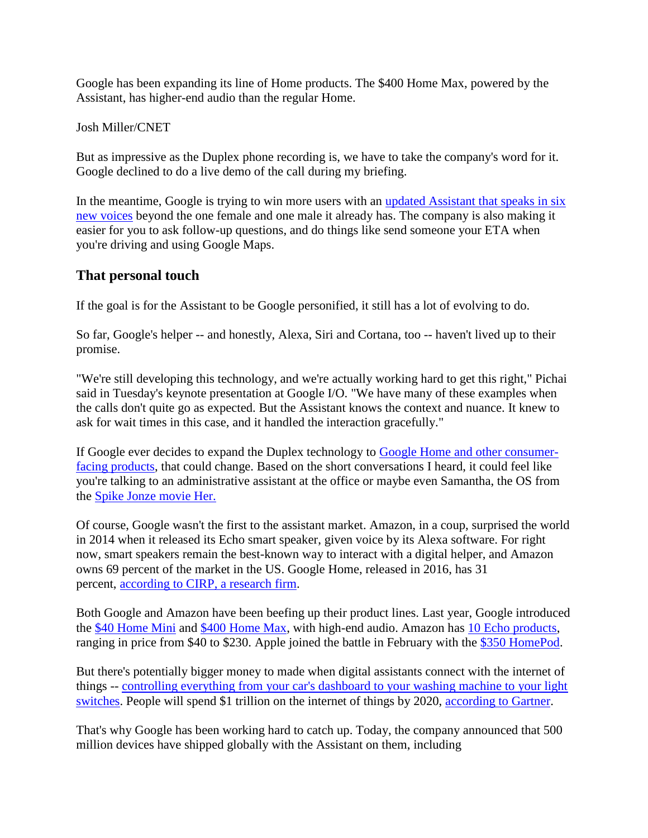Google has been expanding its line of Home products. The \$400 Home Max, powered by the Assistant, has higher-end audio than the regular Home.

Josh Miller/CNET

But as impressive as the Duplex phone recording is, we have to take the company's word for it. Google declined to do a live demo of the call during my briefing.

In the meantime, Google is trying to win more users with an [updated Assistant that speaks in six](https://www.cnet.com/news/google-assistant-gets-six-new-voices-including-john-legend/)  [new voices](https://www.cnet.com/news/google-assistant-gets-six-new-voices-including-john-legend/) beyond the one female and one male it already has. The company is also making it easier for you to ask follow-up questions, and do things like send someone your ETA when you're driving and using Google Maps.

## **That personal touch**

If the goal is for the Assistant to be Google personified, it still has a lot of evolving to do.

So far, Google's helper -- and honestly, Alexa, Siri and Cortana, too -- haven't lived up to their promise.

"We're still developing this technology, and we're actually working hard to get this right," Pichai said in Tuesday's keynote presentation at Google I/O. "We have many of these examples when the calls don't quite go as expected. But the Assistant knows the context and nuance. It knew to ask for wait times in this case, and it handled the interaction gracefully."

If Google ever decides to expand the Duplex technology to [Google Home and other consumer](https://www.cnet.com/news/lg-tvs-get-google-assistant-voice-controls/)[facing products,](https://www.cnet.com/news/lg-tvs-get-google-assistant-voice-controls/) that could change. Based on the short conversations I heard, it could feel like you're talking to an administrative assistant at the office or maybe even Samantha, the OS from the [Spike Jonze movie Her.](http://www.metacritic.com/movie/her)

Of course, Google wasn't the first to the assistant market. Amazon, in a coup, surprised the world in 2014 when it released its Echo smart speaker, given voice by its Alexa software. For right now, smart speakers remain the best-known way to interact with a digital helper, and Amazon owns 69 percent of the market in the US. Google Home, released in 2016, has 31 percent, [according to CIRP, a research firm.](https://www.cirpllc.com/blog/2018/2/12/google-home-starts-to-catch-up)

Both Google and Amazon have been beefing up their product lines. Last year, Google introduced the [\\$40 Home Mini](https://www.cnet.com/products/google-home-mini/review/) and [\\$400 Home Max,](https://www.cnet.com/products/google-home-max/review/) with high-end audio. Amazon has [10 Echo products,](https://www.cnet.com/news/amazon-echo-alexa-devices-everything-you-need-to-know/) ranging in price from \$40 to \$230. Apple joined the battle in February with the [\\$350 HomePod.](https://www.cnet.com/products/apple-homepod/review/)

But there's potentially bigger money to made when digital assistants connect with the internet of things -- [controlling everything from your car's dashboard to your washing machine to your light](https://www.cnet.com/news/google-assistant-gets-native-controls-for-ovens-coffee-makers-and-more/)  [switches.](https://www.cnet.com/news/google-assistant-gets-native-controls-for-ovens-coffee-makers-and-more/) People will spend \$1 trillion on the internet of things by 2020, [according to Gartner.](http://www.zdnet.com/article/what-is-the-internet-of-things-everything-you-need-to-know-about-the-iot-right-now/)

That's why Google has been working hard to catch up. Today, the company announced that 500 million devices have shipped globally with the Assistant on them, including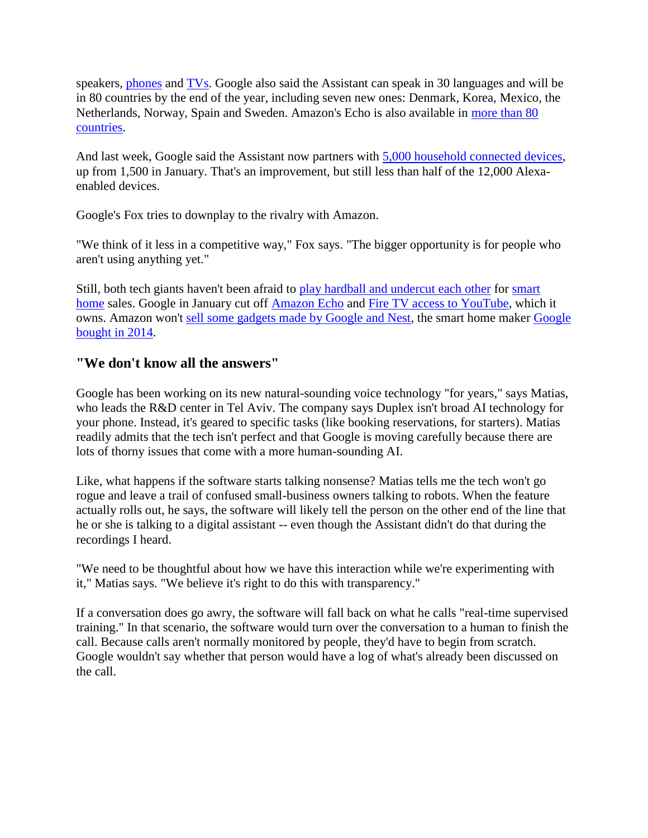speakers, [phones](https://www.cnet.com/topics/phones/) and [TVs.](https://www.cnet.com/topics/tvs/) Google also said the Assistant can speak in 30 languages and will be in 80 countries by the end of the year, including seven new ones: Denmark, Korea, Mexico, the Netherlands, Norway, Spain and Sweden. Amazon's Echo is also available in [more than 80](https://www.zdnet.com/article/amazon-expands-echo-to-more-countries/)  [countries.](https://www.zdnet.com/article/amazon-expands-echo-to-more-countries/)

And last week, Google said the Assistant now partners with [5,000 household connected devices,](https://www.cnet.com/news/google-assistant-hits-5000-smart-home-partners-adds-dish-logitech/) up from 1,500 in January. That's an improvement, but still less than half of the 12,000 Alexaenabled devices.

Google's Fox tries to downplay to the rivalry with Amazon.

"We think of it less in a competitive way," Fox says. "The bigger opportunity is for people who aren't using anything yet."

Still, both tech giants haven't been afraid to [play hardball and undercut each other](https://www.cnet.com/news/youtube-to-cut-access-to-amazon-fire-tv-on-january-1-echo-show/) for [smart](https://www.cnet.com/smart-home/)  [home](https://www.cnet.com/smart-home/) sales. Google in January cut off [Amazon Echo](https://www.cnet.com/products/amazon-echo-2017/review/) and [Fire TV access to YouTube,](https://www.cnet.com/news/youtube-on-fire-tv-things-just-got-trickier/) which it owns. Amazon won't [sell some gadgets made by Google and Nest,](https://www.cnet.com/news/what-google-nest-reunion-means-for-amazon/) the smart home maker [Google](https://www.cnet.com/news/google-to-buy-nest-for-3-2b-in-quest-for-the-conscious-home/)  [bought in 2014.](https://www.cnet.com/news/google-to-buy-nest-for-3-2b-in-quest-for-the-conscious-home/)

## **"We don't know all the answers"**

Google has been working on its new natural-sounding voice technology "for years," says Matias, who leads the R&D center in Tel Aviv. The company says Duplex isn't broad AI technology for your phone. Instead, it's geared to specific tasks (like booking reservations, for starters). Matias readily admits that the tech isn't perfect and that Google is moving carefully because there are lots of thorny issues that come with a more human-sounding AI.

Like, what happens if the software starts talking nonsense? Matias tells me the tech won't go rogue and leave a trail of confused small-business owners talking to robots. When the feature actually rolls out, he says, the software will likely tell the person on the other end of the line that he or she is talking to a digital assistant -- even though the Assistant didn't do that during the recordings I heard.

"We need to be thoughtful about how we have this interaction while we're experimenting with it," Matias says. "We believe it's right to do this with transparency."

If a conversation does go awry, the software will fall back on what he calls "real-time supervised training." In that scenario, the software would turn over the conversation to a human to finish the call. Because calls aren't normally monitored by people, they'd have to begin from scratch. Google wouldn't say whether that person would have a log of what's already been discussed on the call.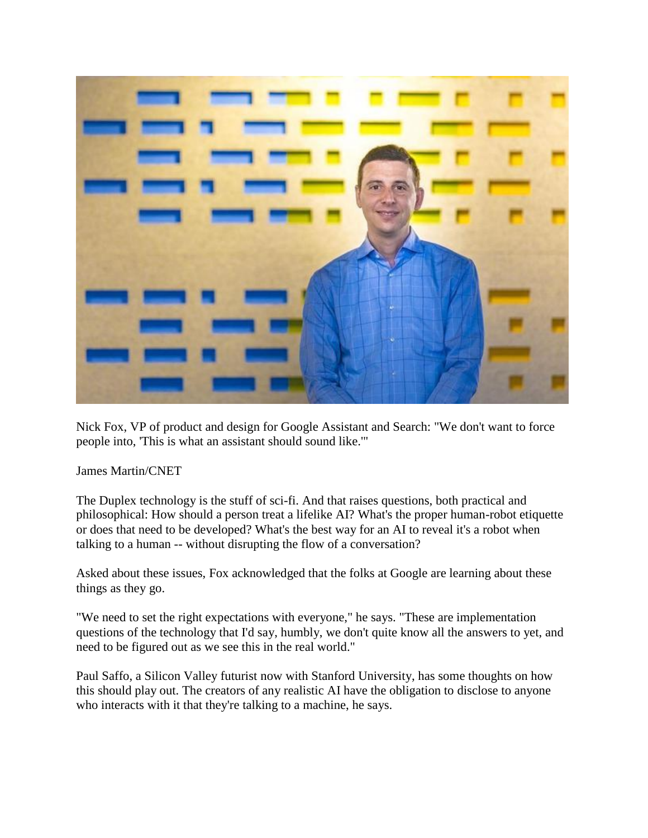

Nick Fox, VP of product and design for Google Assistant and Search: "We don't want to force people into, 'This is what an assistant should sound like.'"

James Martin/CNET

The Duplex technology is the stuff of sci-fi. And that raises questions, both practical and philosophical: How should a person treat a lifelike AI? What's the proper human-robot etiquette or does that need to be developed? What's the best way for an AI to reveal it's a robot when talking to a human -- without disrupting the flow of a conversation?

Asked about these issues, Fox acknowledged that the folks at Google are learning about these things as they go.

"We need to set the right expectations with everyone," he says. "These are implementation questions of the technology that I'd say, humbly, we don't quite know all the answers to yet, and need to be figured out as we see this in the real world."

Paul Saffo, a Silicon Valley futurist now with Stanford University, has some thoughts on how this should play out. The creators of any realistic AI have the obligation to disclose to anyone who interacts with it that they're talking to a machine, he says.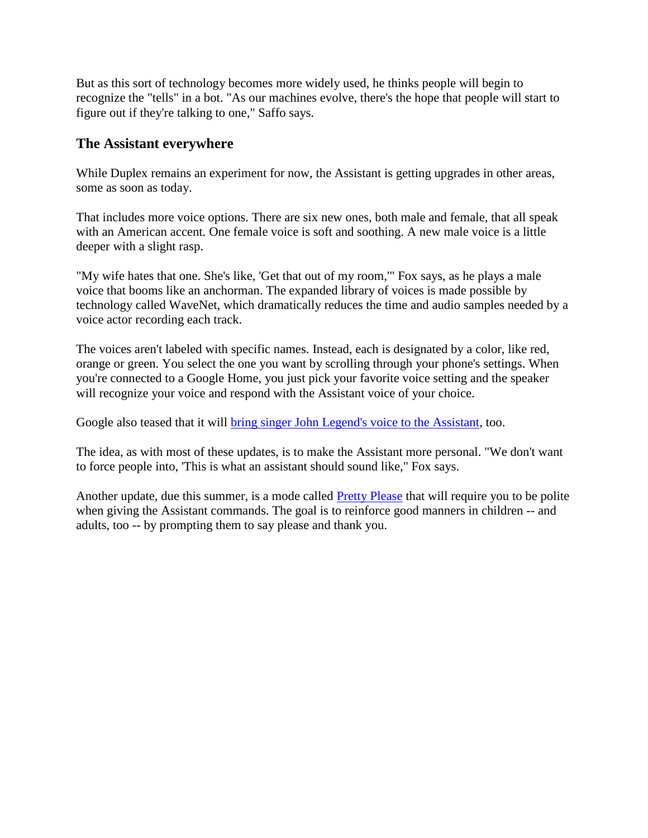But as this sort of technology becomes more widely used, he thinks people will begin to recognize the "tells" in a bot. "As our machines evolve, there's the hope that people will start to figure out if they're talking to one," Saffo says.

## **The Assistant everywhere**

While Duplex remains an experiment for now, the Assistant is getting upgrades in other areas, some as soon as today.

That includes more voice options. There are six new ones, both male and female, that all speak with an American accent. One female voice is soft and soothing. A new male voice is a little deeper with a slight rasp.

"My wife hates that one. She's like, 'Get that out of my room,'" Fox says, as he plays a male voice that booms like an anchorman. The expanded library of voices is made possible by technology called WaveNet, which dramatically reduces the time and audio samples needed by a voice actor recording each track.

The voices aren't labeled with specific names. Instead, each is designated by a color, like red, orange or green. You select the one you want by scrolling through your phone's settings. When you're connected to a Google Home, you just pick your favorite voice setting and the speaker will recognize your voice and respond with the Assistant voice of your choice.

Google also teased that it will **bring singer John Legend's voice to the Assistant**, too.

The idea, as with most of these updates, is to make the Assistant more personal. "We don't want to force people into, 'This is what an assistant should sound like," Fox says.

Another update, due this summer, is a mode called [Pretty Please](https://www.cnet.com/news/googles-pretty-please-feature-wants-to-help-you-enforce-manners/) that will require you to be polite when giving the Assistant commands. The goal is to reinforce good manners in children -- and adults, too -- by prompting them to say please and thank you.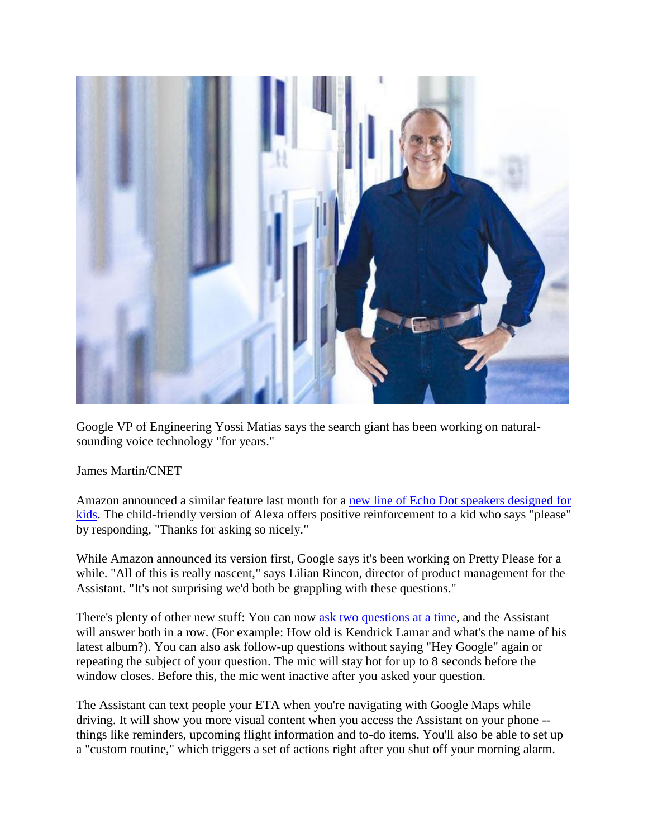

Google VP of Engineering Yossi Matias says the search giant has been working on naturalsounding voice technology "for years."

James Martin/CNET

Amazon announced a similar feature last month for a [new line of Echo Dot speakers designed for](https://www.cnet.com/news/amazon-rolls-out-alexa-for-kids-dad-jokes-reach-a-new-level/)  [kids.](https://www.cnet.com/news/amazon-rolls-out-alexa-for-kids-dad-jokes-reach-a-new-level/) The child-friendly version of Alexa offers positive reinforcement to a kid who says "please" by responding, "Thanks for asking so nicely."

While Amazon announced its version first, Google says it's been working on Pretty Please for a while. "All of this is really nascent," says Lilian Rincon, director of product management for the Assistant. "It's not surprising we'd both be grappling with these questions."

There's plenty of other new stuff: You can now [ask two questions at a time,](https://www.cnet.com/news/google-home-continued-conversation-setting-keeps-the-mic-hot/) and the Assistant will answer both in a row. (For example: How old is Kendrick Lamar and what's the name of his latest album?). You can also ask follow-up questions without saying "Hey Google" again or repeating the subject of your question. The mic will stay hot for up to 8 seconds before the window closes. Before this, the mic went inactive after you asked your question.

The Assistant can text people your ETA when you're navigating with Google Maps while driving. It will show you more visual content when you access the Assistant on your phone - things like reminders, upcoming flight information and to-do items. You'll also be able to set up a "custom routine," which triggers a set of actions right after you shut off your morning alarm.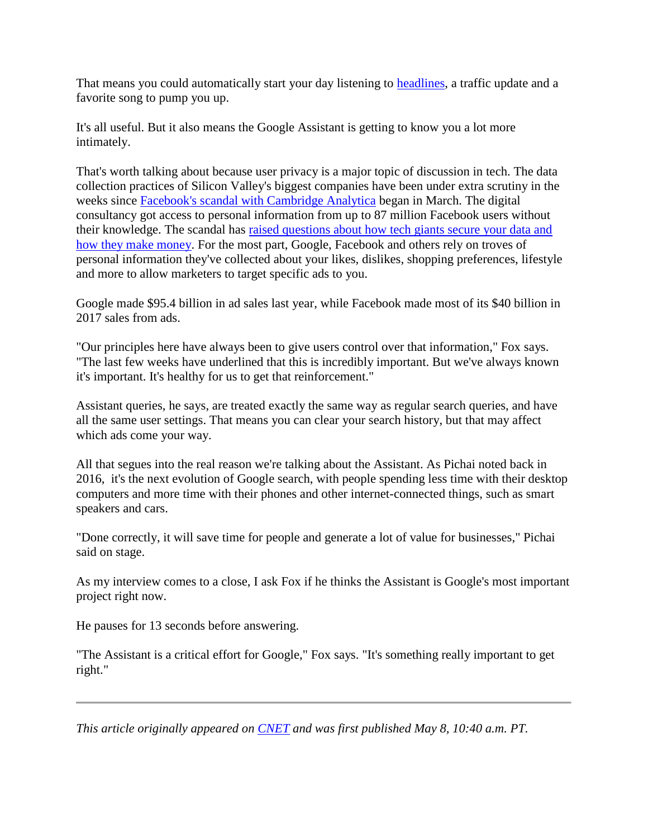That means you could automatically start your day listening to [headlines,](https://www.cnet.com/news/new-google-news-taps-ai-for-better-personalization/) a traffic update and a favorite song to pump you up.

It's all useful. But it also means the Google Assistant is getting to know you a lot more intimately.

That's worth talking about because user privacy is a major topic of discussion in tech. The data collection practices of Silicon Valley's biggest companies have been under extra scrutiny in the weeks since [Facebook's scandal with Cambridge Analytica](https://www.cnet.com/news/facebook-cambridge-analytica-data-mining-and-trump-what-you-need-to-know/) began in March. The digital consultancy got access to personal information from up to 87 million Facebook users without their knowledge. The scandal has [raised questions about how tech giants secure your data and](https://www.cnet.com/news/after-zuckerberg-hearings-congress-broadens-focus-to-google-twitter/)  [how they make money.](https://www.cnet.com/news/after-zuckerberg-hearings-congress-broadens-focus-to-google-twitter/) For the most part, Google, Facebook and others rely on troves of personal information they've collected about your likes, dislikes, shopping preferences, lifestyle and more to allow marketers to target specific ads to you.

Google made \$95.4 billion in ad sales last year, while Facebook made most of its \$40 billion in 2017 sales from ads.

"Our principles here have always been to give users control over that information," Fox says. "The last few weeks have underlined that this is incredibly important. But we've always known it's important. It's healthy for us to get that reinforcement."

Assistant queries, he says, are treated exactly the same way as regular search queries, and have all the same user settings. That means you can clear your search history, but that may affect which ads come your way.

All that segues into the real reason we're talking about the Assistant. As Pichai noted back in 2016, it's the next evolution of Google search, with people spending less time with their desktop computers and more time with their phones and other internet-connected things, such as smart speakers and cars.

"Done correctly, it will save time for people and generate a lot of value for businesses," Pichai said on stage.

As my interview comes to a close, I ask Fox if he thinks the Assistant is Google's most important project right now.

He pauses for 13 seconds before answering.

"The Assistant is a critical effort for Google," Fox says. "It's something really important to get right."

*This article originally appeared on [CNET](https://www.cnet.com/features/google-assistant-duplex-at-io-could-become-the-most-lifelike-ai-voice-assistant-yet/) and was first published May 8, 10:40 a.m. PT.*